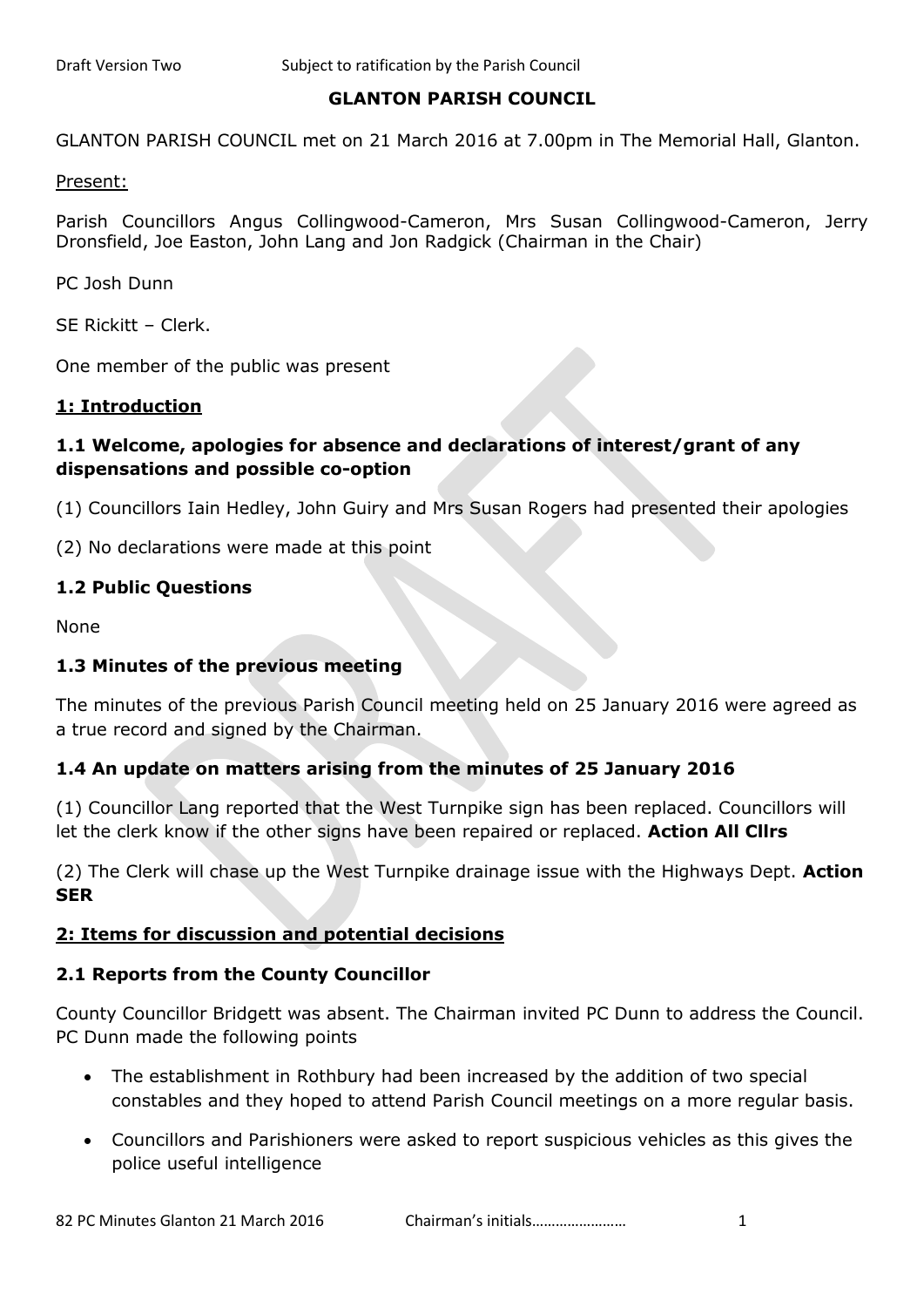### **GLANTON PARISH COUNCIL**

GLANTON PARISH COUNCIL met on 21 March 2016 at 7.00pm in The Memorial Hall, Glanton.

Present:

Parish Councillors Angus Collingwood-Cameron, Mrs Susan Collingwood-Cameron, Jerry Dronsfield, Joe Easton, John Lang and Jon Radgick (Chairman in the Chair)

PC Josh Dunn

SE Rickitt – Clerk.

One member of the public was present

### **1: Introduction**

### **1.1 Welcome, apologies for absence and declarations of interest/grant of any dispensations and possible co-option**

(1) Councillors Iain Hedley, John Guiry and Mrs Susan Rogers had presented their apologies

(2) No declarations were made at this point

### **1.2 Public Questions**

None

### **1.3 Minutes of the previous meeting**

The minutes of the previous Parish Council meeting held on 25 January 2016 were agreed as a true record and signed by the Chairman.

### **1.4 An update on matters arising from the minutes of 25 January 2016**

(1) Councillor Lang reported that the West Turnpike sign has been replaced. Councillors will let the clerk know if the other signs have been repaired or replaced. **Action All Cllrs**

(2) The Clerk will chase up the West Turnpike drainage issue with the Highways Dept. **Action SER**

### **2: Items for discussion and potential decisions**

### **2.1 Reports from the County Councillor**

County Councillor Bridgett was absent. The Chairman invited PC Dunn to address the Council. PC Dunn made the following points

- The establishment in Rothbury had been increased by the addition of two special constables and they hoped to attend Parish Council meetings on a more regular basis.
- Councillors and Parishioners were asked to report suspicious vehicles as this gives the police useful intelligence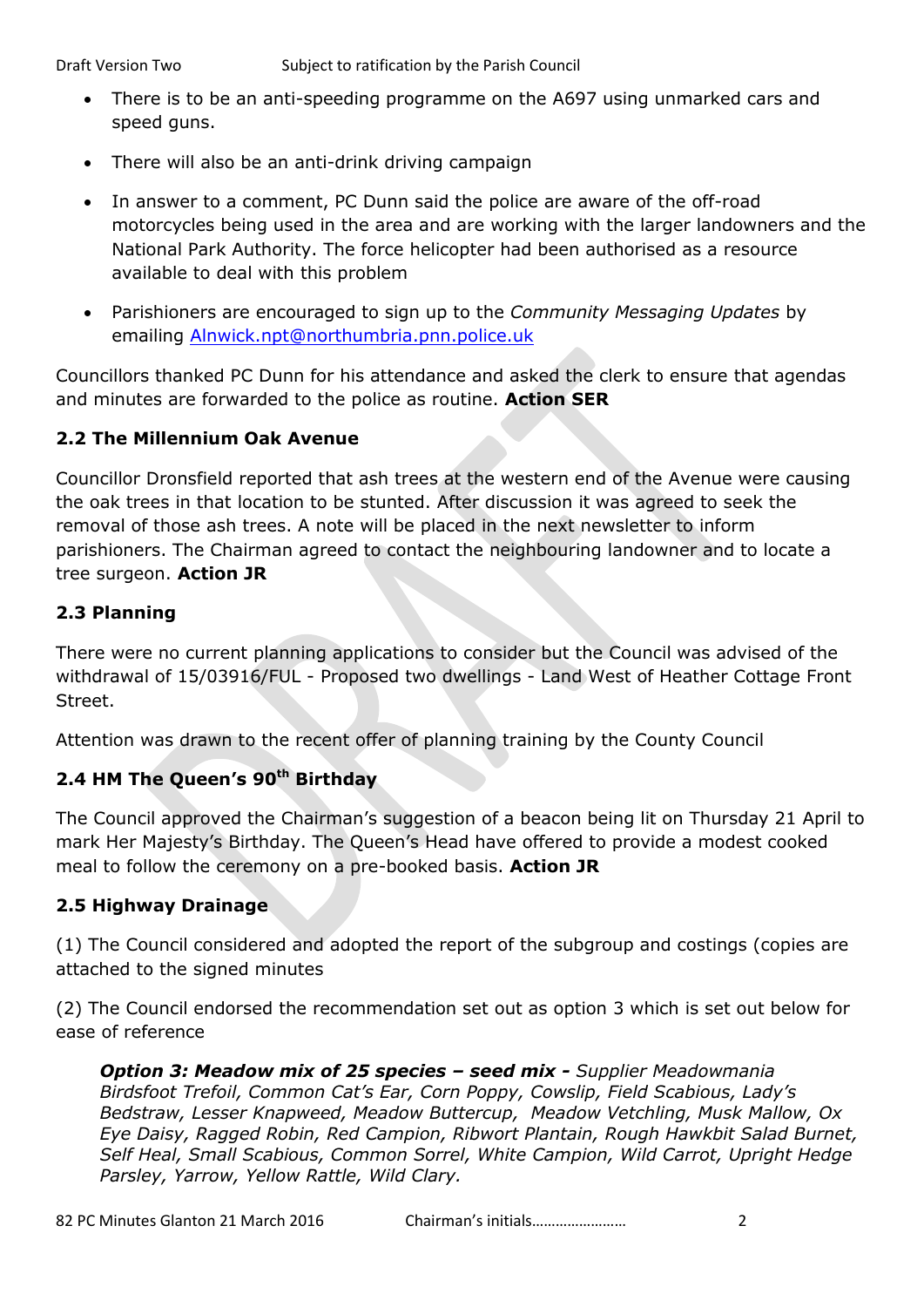- There is to be an anti-speeding programme on the A697 using unmarked cars and speed guns.
- There will also be an anti-drink driving campaign
- In answer to a comment, PC Dunn said the police are aware of the off-road motorcycles being used in the area and are working with the larger landowners and the National Park Authority. The force helicopter had been authorised as a resource available to deal with this problem
- Parishioners are encouraged to sign up to the *Community Messaging Updates* by emailing [Alnwick.npt@northumbria.pnn.police.uk](mailto:Alnwick.npt@northumbria.pnn.police.uk)

Councillors thanked PC Dunn for his attendance and asked the clerk to ensure that agendas and minutes are forwarded to the police as routine. **Action SER**

# **2.2 The Millennium Oak Avenue**

Councillor Dronsfield reported that ash trees at the western end of the Avenue were causing the oak trees in that location to be stunted. After discussion it was agreed to seek the removal of those ash trees. A note will be placed in the next newsletter to inform parishioners. The Chairman agreed to contact the neighbouring landowner and to locate a tree surgeon. **Action JR**

# **2.3 Planning**

There were no current planning applications to consider but the Council was advised of the withdrawal of 15/03916/FUL - Proposed two dwellings - Land West of Heather Cottage Front Street.

Attention was drawn to the recent offer of planning training by the County Council

# **2.4 HM The Queen's 90th Birthday**

The Council approved the Chairman's suggestion of a beacon being lit on Thursday 21 April to mark Her Majesty's Birthday. The Queen's Head have offered to provide a modest cooked meal to follow the ceremony on a pre-booked basis. **Action JR**

### **2.5 Highway Drainage**

(1) The Council considered and adopted the report of the subgroup and costings (copies are attached to the signed minutes

(2) The Council endorsed the recommendation set out as option 3 which is set out below for ease of reference

*Option 3: Meadow mix of 25 species – seed mix - Supplier Meadowmania Birdsfoot Trefoil, Common Cat's Ear, Corn Poppy, Cowslip, Field Scabious, Lady's Bedstraw, Lesser Knapweed, Meadow Buttercup, Meadow Vetchling, Musk Mallow, Ox Eye Daisy, Ragged Robin, Red Campion, Ribwort Plantain, Rough Hawkbit Salad Burnet, Self Heal, Small Scabious, Common Sorrel, White Campion, Wild Carrot, Upright Hedge Parsley, Yarrow, Yellow Rattle, Wild Clary.*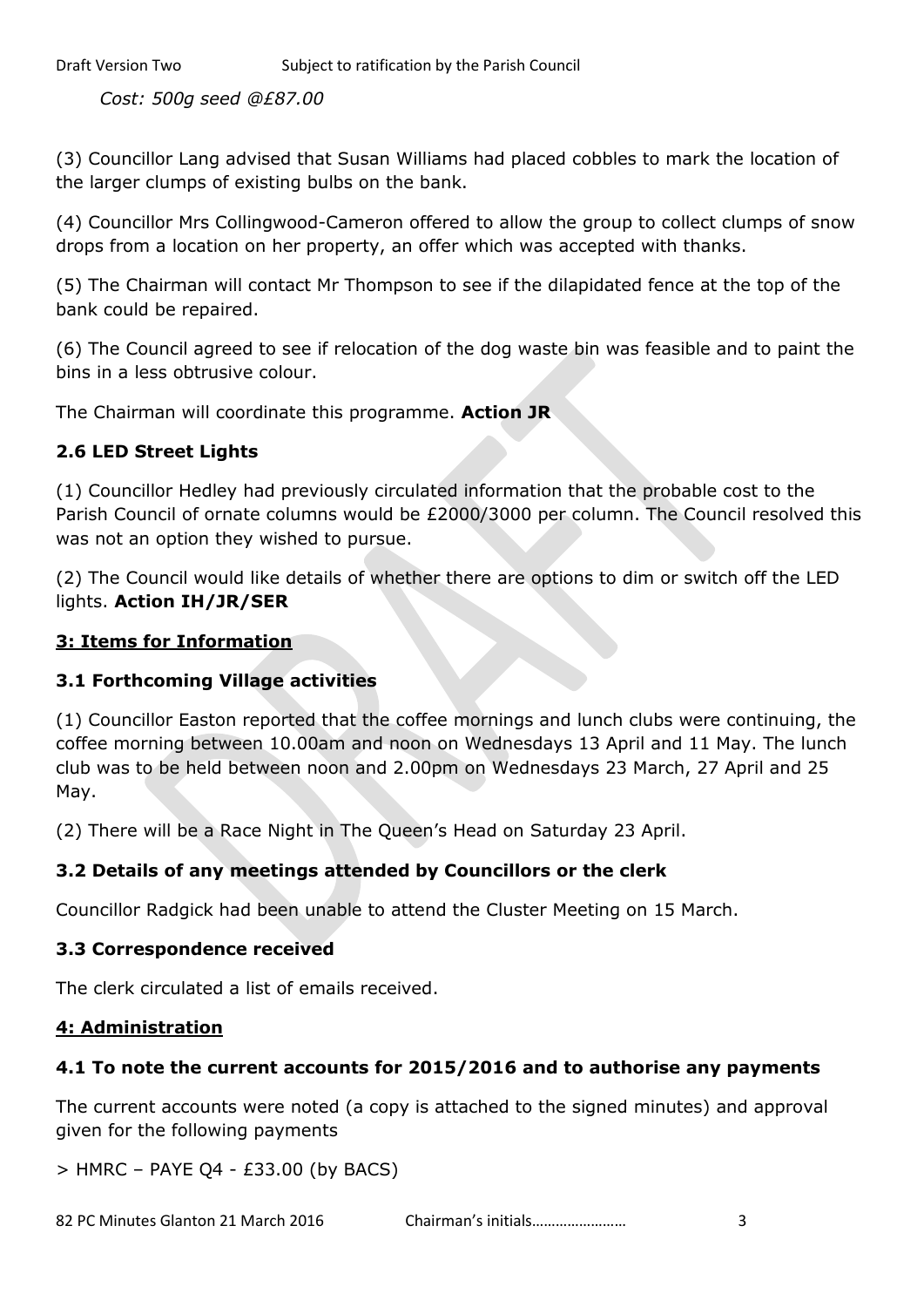*Cost: 500g seed @£87.00*

(3) Councillor Lang advised that Susan Williams had placed cobbles to mark the location of the larger clumps of existing bulbs on the bank.

(4) Councillor Mrs Collingwood-Cameron offered to allow the group to collect clumps of snow drops from a location on her property, an offer which was accepted with thanks.

(5) The Chairman will contact Mr Thompson to see if the dilapidated fence at the top of the bank could be repaired.

(6) The Council agreed to see if relocation of the dog waste bin was feasible and to paint the bins in a less obtrusive colour.

The Chairman will coordinate this programme. **Action JR**

### **2.6 LED Street Lights**

(1) Councillor Hedley had previously circulated information that the probable cost to the Parish Council of ornate columns would be £2000/3000 per column. The Council resolved this was not an option they wished to pursue.

(2) The Council would like details of whether there are options to dim or switch off the LED lights. **Action IH/JR/SER**

### **3: Items for Information**

### **3.1 Forthcoming Village activities**

(1) Councillor Easton reported that the coffee mornings and lunch clubs were continuing, the coffee morning between 10.00am and noon on Wednesdays 13 April and 11 May. The lunch club was to be held between noon and 2.00pm on Wednesdays 23 March, 27 April and 25 May.

(2) There will be a Race Night in The Queen's Head on Saturday 23 April.

### **3.2 Details of any meetings attended by Councillors or the clerk**

Councillor Radgick had been unable to attend the Cluster Meeting on 15 March.

### **3.3 Correspondence received**

The clerk circulated a list of emails received.

### **4: Administration**

### **4.1 To note the current accounts for 2015/2016 and to authorise any payments**

The current accounts were noted (a copy is attached to the signed minutes) and approval given for the following payments

 $>$  HMRC – PAYE Q4 - £33.00 (by BACS)